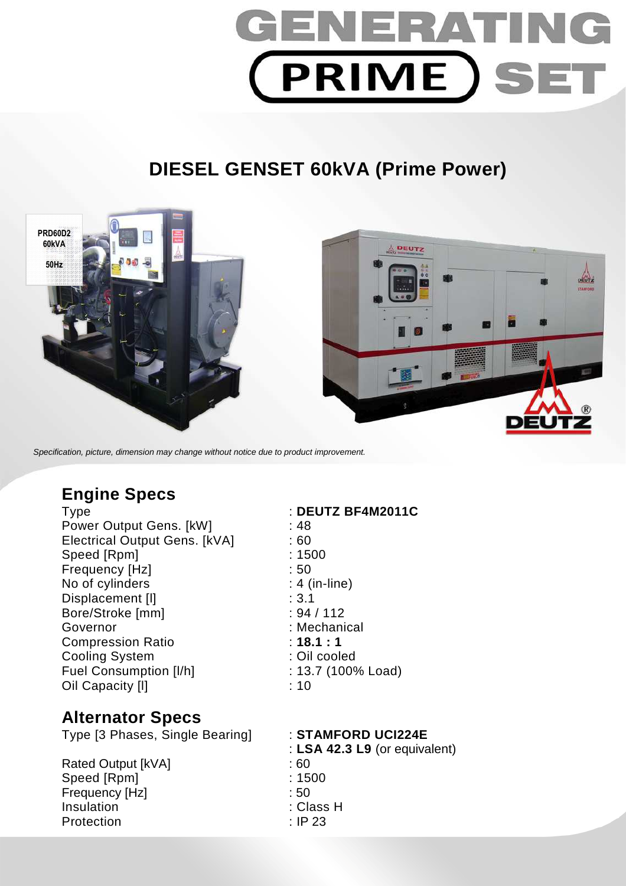

# **DIESEL GENSET 60kVA (Prime Power)**



Specification, picture, dimension may change without notice due to product improvement.

# **Engine Specs**

Power Output Gens. [kW] : 48 Electrical Output Gens. [kVA] : 60 Speed [Rpm] : 1500 Frequency [Hz]  $\qquad \qquad$  : 50 No of cylinders : 4 (in-line) Displacement [I] in the set of the set of the set of the set of the set of the set of the set of the set of the set of the set of the set of the set of the set of the set of the set of the set of the set of the set of the Bore/Stroke [mm] : 94 / 112 Governor : Mechanical : Mechanical Compression Ratio **18.1 : 1** Cooling System : Cil cooled Fuel Consumption [I/h] : 13.7 (100% Load) Oil Capacity [I] 2020 11: 10: 2020

# **Alternator Specs**

Type [3 Phases, Single Bearing] : **STAMFORD UCI224E** 

Rated Output [kVA] : 60 Speed [Rpm] : 1500 Frequency [Hz] : 50 Insulation : Class H Protection : IP 23

### Type : **DEUTZ BF4M2011C**

: **LSA 42.3 L9** (or equivalent)